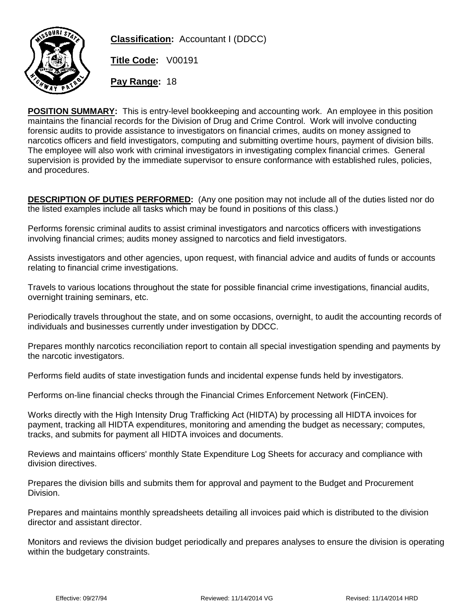

**Classification:** Accountant I (DDCC)

**Title Code:** V00191

**Pay Range:** 18

**POSITION SUMMARY:** This is entry-level bookkeeping and accounting work. An employee in this position maintains the financial records for the Division of Drug and Crime Control. Work will involve conducting forensic audits to provide assistance to investigators on financial crimes, audits on money assigned to narcotics officers and field investigators, computing and submitting overtime hours, payment of division bills. The employee will also work with criminal investigators in investigating complex financial crimes. General supervision is provided by the immediate supervisor to ensure conformance with established rules, policies, and procedures.

**DESCRIPTION OF DUTIES PERFORMED:** (Any one position may not include all of the duties listed nor do the listed examples include all tasks which may be found in positions of this class.)

Performs forensic criminal audits to assist criminal investigators and narcotics officers with investigations involving financial crimes; audits money assigned to narcotics and field investigators.

Assists investigators and other agencies, upon request, with financial advice and audits of funds or accounts relating to financial crime investigations.

Travels to various locations throughout the state for possible financial crime investigations, financial audits, overnight training seminars, etc.

Periodically travels throughout the state, and on some occasions, overnight, to audit the accounting records of individuals and businesses currently under investigation by DDCC.

Prepares monthly narcotics reconciliation report to contain all special investigation spending and payments by the narcotic investigators.

Performs field audits of state investigation funds and incidental expense funds held by investigators.

Performs on-line financial checks through the Financial Crimes Enforcement Network (FinCEN).

Works directly with the High Intensity Drug Trafficking Act (HIDTA) by processing all HIDTA invoices for payment, tracking all HIDTA expenditures, monitoring and amending the budget as necessary; computes, tracks, and submits for payment all HIDTA invoices and documents.

Reviews and maintains officers' monthly State Expenditure Log Sheets for accuracy and compliance with division directives.

Prepares the division bills and submits them for approval and payment to the Budget and Procurement Division.

Prepares and maintains monthly spreadsheets detailing all invoices paid which is distributed to the division director and assistant director.

Monitors and reviews the division budget periodically and prepares analyses to ensure the division is operating within the budgetary constraints.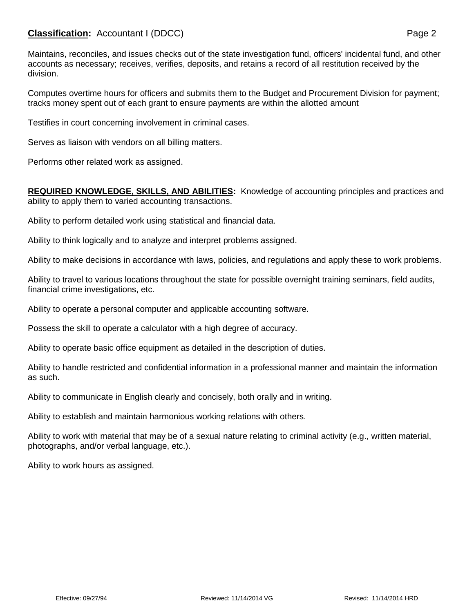## **Classification:** Accountant I (DDCC) **Page 2**

Maintains, reconciles, and issues checks out of the state investigation fund, officers' incidental fund, and other accounts as necessary; receives, verifies, deposits, and retains a record of all restitution received by the division.

Computes overtime hours for officers and submits them to the Budget and Procurement Division for payment; tracks money spent out of each grant to ensure payments are within the allotted amount

Testifies in court concerning involvement in criminal cases.

Serves as liaison with vendors on all billing matters.

Performs other related work as assigned.

## **REQUIRED KNOWLEDGE, SKILLS, AND ABILITIES:** Knowledge of accounting principles and practices and ability to apply them to varied accounting transactions.

Ability to perform detailed work using statistical and financial data.

Ability to think logically and to analyze and interpret problems assigned.

Ability to make decisions in accordance with laws, policies, and regulations and apply these to work problems.

Ability to travel to various locations throughout the state for possible overnight training seminars, field audits, financial crime investigations, etc.

Ability to operate a personal computer and applicable accounting software.

Possess the skill to operate a calculator with a high degree of accuracy.

Ability to operate basic office equipment as detailed in the description of duties.

Ability to handle restricted and confidential information in a professional manner and maintain the information as such.

Ability to communicate in English clearly and concisely, both orally and in writing.

Ability to establish and maintain harmonious working relations with others.

Ability to work with material that may be of a sexual nature relating to criminal activity (e.g., written material, photographs, and/or verbal language, etc.).

Ability to work hours as assigned.